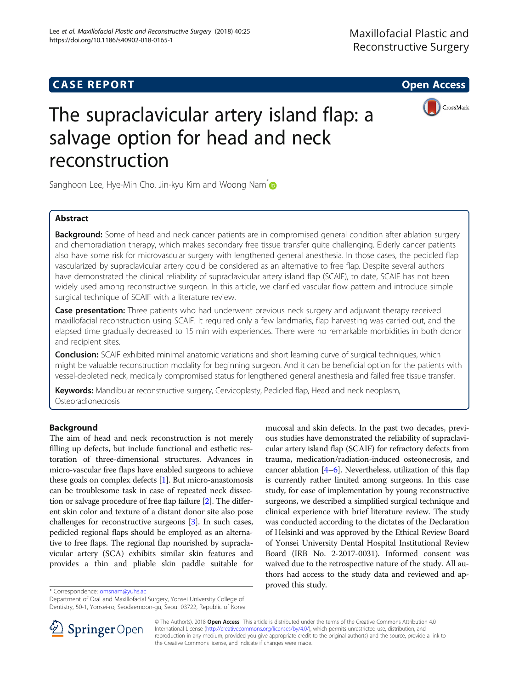# **CASE REPORT And SERVICE SERVICE SERVICE SERVICE SERVICE SERVICE SERVICE SERVICE SERVICE SERVICE SERVICE SERVICE**



CrossMark



Sanghoon Lee, Hye-Min Cho, Jin-kyu Kim and Woong Nam<sup>\*</sup>

# Abstract

**Background:** Some of head and neck cancer patients are in compromised general condition after ablation surgery and chemoradiation therapy, which makes secondary free tissue transfer quite challenging. Elderly cancer patients also have some risk for microvascular surgery with lengthened general anesthesia. In those cases, the pedicled flap vascularized by supraclavicular artery could be considered as an alternative to free flap. Despite several authors have demonstrated the clinical reliability of supraclavicular artery island flap (SCAIF), to date, SCAIF has not been widely used among reconstructive surgeon. In this article, we clarified vascular flow pattern and introduce simple surgical technique of SCAIF with a literature review.

**Case presentation:** Three patients who had underwent previous neck surgery and adjuvant therapy received maxillofacial reconstruction using SCAIF. It required only a few landmarks, flap harvesting was carried out, and the elapsed time gradually decreased to 15 min with experiences. There were no remarkable morbidities in both donor and recipient sites.

Conclusion: SCAIF exhibited minimal anatomic variations and short learning curve of surgical techniques, which might be valuable reconstruction modality for beginning surgeon. And it can be beneficial option for the patients with vessel-depleted neck, medically compromised status for lengthened general anesthesia and failed free tissue transfer.

Keywords: Mandibular reconstructive surgery, Cervicoplasty, Pedicled flap, Head and neck neoplasm, Osteoradionecrosis

# Background

The aim of head and neck reconstruction is not merely filling up defects, but include functional and esthetic restoration of three-dimensional structures. Advances in micro-vascular free flaps have enabled surgeons to achieve these goals on complex defects [[1](#page-3-0)]. But micro-anastomosis can be troublesome task in case of repeated neck dissection or salvage procedure of free flap failure [\[2](#page-3-0)]. The different skin color and texture of a distant donor site also pose challenges for reconstructive surgeons [\[3](#page-3-0)]. In such cases, pedicled regional flaps should be employed as an alternative to free flaps. The regional flap nourished by supraclavicular artery (SCA) exhibits similar skin features and provides a thin and pliable skin paddle suitable for

mucosal and skin defects. In the past two decades, previous studies have demonstrated the reliability of supraclavicular artery island flap (SCAIF) for refractory defects from trauma, medication/radiation-induced osteonecrosis, and cancer ablation  $[4-6]$  $[4-6]$  $[4-6]$ . Nevertheless, utilization of this flap is currently rather limited among surgeons. In this case study, for ease of implementation by young reconstructive surgeons, we described a simplified surgical technique and clinical experience with brief literature review. The study was conducted according to the dictates of the Declaration of Helsinki and was approved by the Ethical Review Board of Yonsei University Dental Hospital Institutional Review Board (IRB No. 2-2017-0031). Informed consent was waived due to the retrospective nature of the study. All authors had access to the study data and reviewed and ap-

proved this study. \* Correspondence: [omsnam@yuhs.ac](mailto:omsnam@yuhs.ac)

Department of Oral and Maxillofacial Surgery, Yonsei University College of Dentistry, 50-1, Yonsei-ro, Seodaemoon-gu, Seoul 03722, Republic of Korea



© The Author(s). 2018 Open Access This article is distributed under the terms of the Creative Commons Attribution 4.0 International License ([http://creativecommons.org/licenses/by/4.0/\)](http://creativecommons.org/licenses/by/4.0/), which permits unrestricted use, distribution, and reproduction in any medium, provided you give appropriate credit to the original author(s) and the source, provide a link to the Creative Commons license, and indicate if changes were made.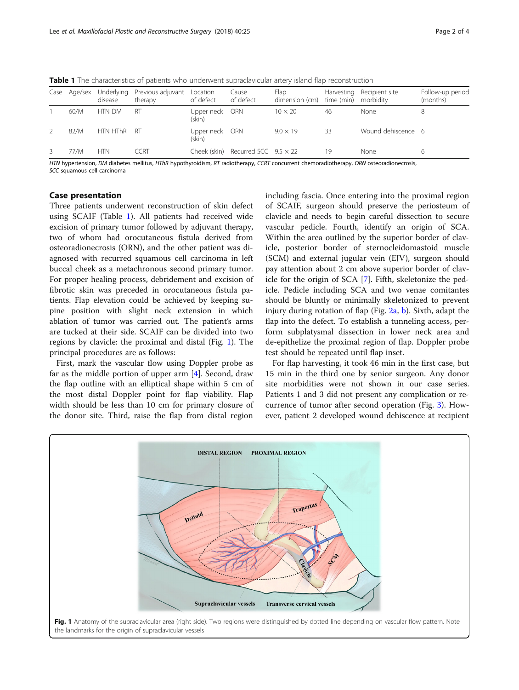| 60/M |             |      |                          | dimension (cm)  | time (min)                                | morbidity          | (months) |
|------|-------------|------|--------------------------|-----------------|-------------------------------------------|--------------------|----------|
|      | htn DM      | RT   | Upper neck ORN<br>(skin) | $10 \times 20$  | 46                                        | None               |          |
| 82/M | HTN HThR RT |      | Upper neck ORN<br>(skin) | $9.0 \times 19$ | 33                                        | Wound dehiscence 6 |          |
| 77/M | <b>HTN</b>  | CCRT |                          |                 | 19                                        | None               | 6        |
|      |             |      |                          |                 | Cheek (skin) Recurred SCC $9.5 \times 22$ |                    |          |

Table 1 The characteristics of patients who underwent supraclavicular artery island flap reconstruction

HTN hypertension, DM diabetes mellitus, HThR hypothyroidism, RT radiotherapy, CCRT concurrent chemoradiotherapy, ORN osteoradionecrosis, SCC squamous cell carcinoma

### Case presentation

Three patients underwent reconstruction of skin defect using SCAIF (Table 1). All patients had received wide excision of primary tumor followed by adjuvant therapy, two of whom had orocutaneous fistula derived from osteoradionecrosis (ORN), and the other patient was diagnosed with recurred squamous cell carcinoma in left buccal cheek as a metachronous second primary tumor. For proper healing process, debridement and excision of fibrotic skin was preceded in orocutaneous fistula patients. Flap elevation could be achieved by keeping supine position with slight neck extension in which ablation of tumor was carried out. The patient's arms are tucked at their side. SCAIF can be divided into two regions by clavicle: the proximal and distal (Fig. 1). The principal procedures are as follows:

First, mark the vascular flow using Doppler probe as far as the middle portion of upper arm [\[4](#page-3-0)]. Second, draw the flap outline with an elliptical shape within 5 cm of the most distal Doppler point for flap viability. Flap width should be less than 10 cm for primary closure of the donor site. Third, raise the flap from distal region

including fascia. Once entering into the proximal region of SCAIF, surgeon should preserve the periosteum of clavicle and needs to begin careful dissection to secure vascular pedicle. Fourth, identify an origin of SCA. Within the area outlined by the superior border of clavicle, posterior border of sternocleidomastoid muscle (SCM) and external jugular vein (EJV), surgeon should pay attention about 2 cm above superior border of clavicle for the origin of SCA [\[7](#page-3-0)]. Fifth, skeletonize the pedicle. Pedicle including SCA and two venae comitantes should be bluntly or minimally skeletonized to prevent injury during rotation of flap (Fig.  $2a$ , [b](#page-2-0)). Sixth, adapt the flap into the defect. To establish a tunneling access, perform subplatysmal dissection in lower neck area and de-epithelize the proximal region of flap. Doppler probe test should be repeated until flap inset.

For flap harvesting, it took 46 min in the first case, but 15 min in the third one by senior surgeon. Any donor site morbidities were not shown in our case series. Patients 1 and 3 did not present any complication or recurrence of tumor after second operation (Fig. [3\)](#page-2-0). However, patient 2 developed wound dehiscence at recipient

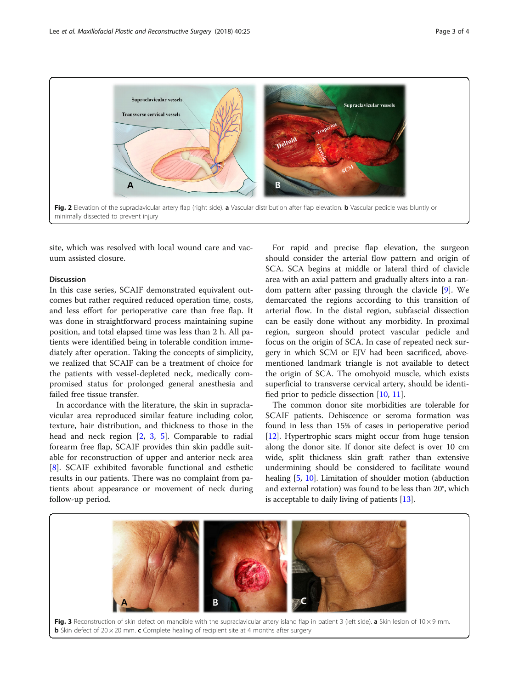<span id="page-2-0"></span>

site, which was resolved with local wound care and vacuum assisted closure.

## Discussion

In this case series, SCAIF demonstrated equivalent outcomes but rather required reduced operation time, costs, and less effort for perioperative care than free flap. It was done in straightforward process maintaining supine position, and total elapsed time was less than 2 h. All patients were identified being in tolerable condition immediately after operation. Taking the concepts of simplicity, we realized that SCAIF can be a treatment of choice for the patients with vessel-depleted neck, medically compromised status for prolonged general anesthesia and failed free tissue transfer.

In accordance with the literature, the skin in supraclavicular area reproduced similar feature including color, texture, hair distribution, and thickness to those in the head and neck region [[2,](#page-3-0) [3,](#page-3-0) [5](#page-3-0)]. Comparable to radial forearm free flap, SCAIF provides thin skin paddle suitable for reconstruction of upper and anterior neck area [[8\]](#page-3-0). SCAIF exhibited favorable functional and esthetic results in our patients. There was no complaint from patients about appearance or movement of neck during follow-up period.

For rapid and precise flap elevation, the surgeon should consider the arterial flow pattern and origin of SCA. SCA begins at middle or lateral third of clavicle area with an axial pattern and gradually alters into a random pattern after passing through the clavicle [[9\]](#page-3-0). We demarcated the regions according to this transition of arterial flow. In the distal region, subfascial dissection can be easily done without any morbidity. In proximal region, surgeon should protect vascular pedicle and focus on the origin of SCA. In case of repeated neck surgery in which SCM or EJV had been sacrificed, abovementioned landmark triangle is not available to detect the origin of SCA. The omohyoid muscle, which exists superficial to transverse cervical artery, should be identified prior to pedicle dissection [\[10](#page-3-0), [11](#page-3-0)].

The common donor site morbidities are tolerable for SCAIF patients. Dehiscence or seroma formation was found in less than 15% of cases in perioperative period [[12](#page-3-0)]. Hypertrophic scars might occur from huge tension along the donor site. If donor site defect is over 10 cm wide, split thickness skin graft rather than extensive undermining should be considered to facilitate wound healing [\[5,](#page-3-0) [10\]](#page-3-0). Limitation of shoulder motion (abduction and external rotation) was found to be less than 20°, which is acceptable to daily living of patients [[13](#page-3-0)].